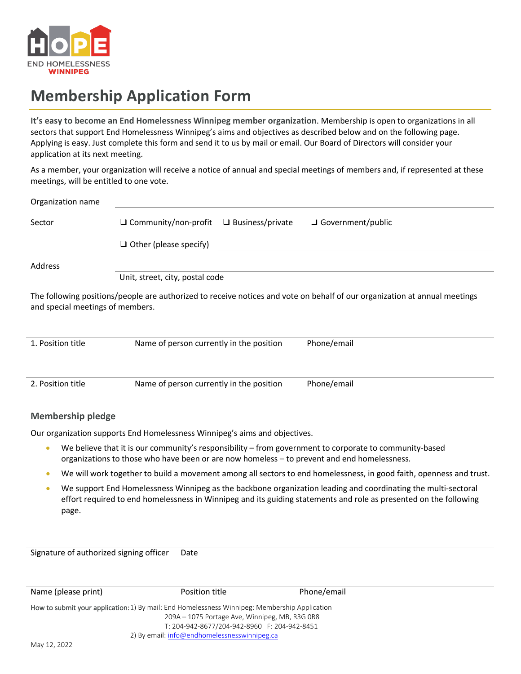

## **Membership Application Form**

**It's easy to become an End Homelessness Winnipeg member organization**. Membership is open to organizations in all sectors that support End Homelessness Winnipeg's aims and objectives as described below and on the following page. Applying is easy. Just complete this form and send it to us by mail or email. Our Board of Directors will consider your application at its next meeting.

As a member, your organization will receive a notice of annual and special meetings of members and, if represented at these meetings, will be entitled to one vote.

| Organization name                                                                                                                                              |                                                                                 |  |  |  |
|----------------------------------------------------------------------------------------------------------------------------------------------------------------|---------------------------------------------------------------------------------|--|--|--|
| Sector                                                                                                                                                         | $\Box$ Community/non-profit $\Box$ Business/private<br>$\Box$ Government/public |  |  |  |
|                                                                                                                                                                | $\Box$ Other (please specify)                                                   |  |  |  |
| Address                                                                                                                                                        |                                                                                 |  |  |  |
|                                                                                                                                                                | Unit, street, city, postal code                                                 |  |  |  |
| The following positions/people are authorized to receive notices and vote on behalf of our organization at annual meetings<br>and special meetings of members. |                                                                                 |  |  |  |
| 1. Position title                                                                                                                                              | Name of person currently in the position<br>Phone/email                         |  |  |  |

2. Position title Name of person currently in the position Phone/email

## **Membership pledge**

Our organization supports End Homelessness Winnipeg's aims and objectives.

- We believe that it is our community's responsibility from government to corporate to community-based organizations to those who have been or are now homeless – to prevent and end homelessness.
- We will work together to build a movement among all sectors to end homelessness, in good faith, openness and trust.
- We support End Homelessness Winnipeg as the backbone organization leading and coordinating the multi-sectoral effort required to end homelessness in Winnipeg and its guiding statements and role as presented on the following page.

Signature of authorized signing officer Date

| Name (please print)                                                                           | Position title                                 | Phone/email |  |  |  |
|-----------------------------------------------------------------------------------------------|------------------------------------------------|-------------|--|--|--|
| How to submit your application: 1) By mail: End Homelessness Winnipeg: Membership Application |                                                |             |  |  |  |
|                                                                                               | 209A – 1075 Portage Ave, Winnipeg, MB, R3G OR8 |             |  |  |  |
|                                                                                               | T: 204-942-8677/204-942-8960 F: 204-942-8451   |             |  |  |  |
|                                                                                               | 2) By email: info@endhomelessnesswinnipeg.ca   |             |  |  |  |
| $M_{211}$ 12.2022                                                                             |                                                |             |  |  |  |